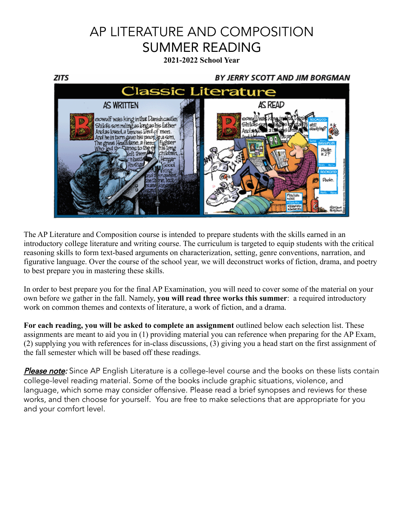# AP LITERATURE AND COMPOSITION SUMMER READING

**2021-2022 School Year**



The AP Literature and Composition course is intended to prepare students with the skills earned in an introductory college literature and writing course. The curriculum is targeted to equip students with the critical reasoning skills to form text-based arguments on characterization, setting, genre conventions, narration, and figurative language. Over the course of the school year, we will deconstruct works of fiction, drama, and poetry to best prepare you in mastering these skills.

In order to best prepare you for the final AP Examination, you will need to cover some of the material on your own before we gather in the fall. Namely, **you will read three works this summer**: a required introductory work on common themes and contexts of literature, a work of fiction, and a drama.

**For each reading, you will be asked to complete an assignment** outlined below each selection list. These assignments are meant to aid you in (1) providing material you can reference when preparing for the AP Exam, (2) supplying you with references for in-class discussions, (3) giving you a head start on the first assignment of the fall semester which will be based off these readings.

Please note: Since AP English Literature is a college-level course and the books on these lists contain college-level reading material. Some of the books include graphic situations, violence, and language, which some may consider offensive. Please read a brief synopses and reviews for these works, and then choose for yourself. You are free to make selections that are appropriate for you and your comfort level.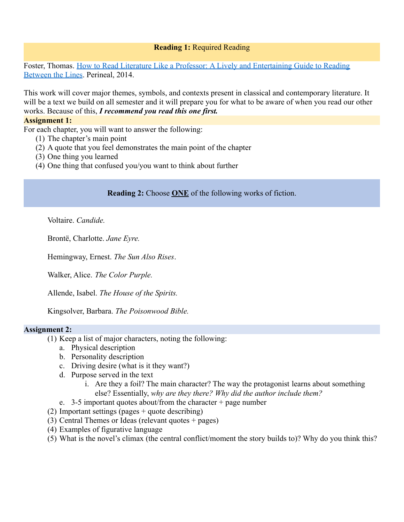## **Reading 1:** Required Reading

Foster, Thomas. How to Read Literature Like a Professor: [A Lively and Entertaining Guide to Reading](https://www.amazon.com/How-Read-Literature-Like-Professor/dp/0062301675/ref=sr_1_1?dchild=1&keywords=How+to+Read+Literature+Like+a+Professor%3A+A+Lively+and+Entertaining+Guide+to+Reading+Between+the+Lines&qid=1588703377&sr=8-1) [Between the Lines](https://www.amazon.com/How-Read-Literature-Like-Professor/dp/0062301675/ref=sr_1_1?dchild=1&keywords=How+to+Read+Literature+Like+a+Professor%3A+A+Lively+and+Entertaining+Guide+to+Reading+Between+the+Lines&qid=1588703377&sr=8-1). Perineal, 2014.

This work will cover major themes, symbols, and contexts present in classical and contemporary literature. It will be a text we build on all semester and it will prepare you for what to be aware of when you read our other works. Because of this, *I recommend you read this one first.*

### **Assignment 1:**

For each chapter, you will want to answer the following:

- (1) The chapter's main point
- (2) A quote that you feel demonstrates the main point of the chapter
- (3) One thing you learned
- (4) One thing that confused you/you want to think about further

**Reading 2:** Choose **ONE** of the following works of fiction.

Voltaire. *Candide.*

Brontë, Charlotte. *Jane Eyre.*

Hemingway, Ernest. *The Sun Also Rises*.

Walker, Alice. *The Color Purple.*

Allende, Isabel. *The House of the Spirits.*

Kingsolver, Barbara. *The Poisonwood Bible.*

## **Assignment 2:**

- (1) Keep a list of major characters, noting the following:
	- a. Physical description
	- b. Personality description
	- c. Driving desire (what is it they want?)
	- d. Purpose served in the text
		- i. Are they a foil? The main character? The way the protagonist learns about something else? Essentially, *why are they there? Why did the author include them?*
	- e. 3-5 important quotes about/from the character  $+$  page number
- (2) Important settings (pages + quote describing)
- (3) Central Themes or Ideas (relevant quotes + pages)
- (4) Examples of figurative language
- (5) What is the novel's climax (the central conflict/moment the story builds to)? Why do you think this?